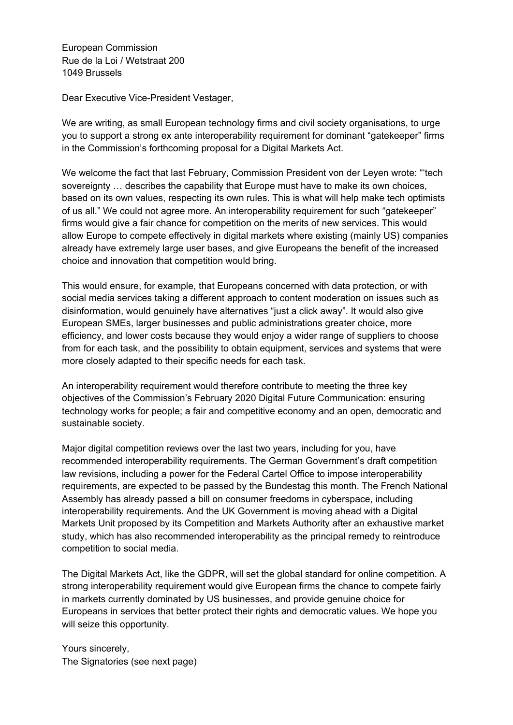European Commission Rue de la Loi / Wetstraat 200 1049 Brussels

Dear Executive Vice-President Vestager,

We are writing, as small European technology firms and civil society organisations, to urge you to support a strong ex ante interoperability requirement for dominant "gatekeeper" firms in the Commission's forthcoming proposal for a Digital Markets Act.

We welcome the fact that last February, Commission President von der Leyen wrote: "'tech sovereignty … describes the capability that Europe must have to make its own choices, based on its own values, respecting its own rules. This is what will help make tech optimists of us all." We could not agree more. An interoperability requirement for such "gatekeeper" firms would give a fair chance for competition on the merits of new services. This would allow Europe to compete effectively in digital markets where existing (mainly US) companies already have extremely large user bases, and give Europeans the benefit of the increased choice and innovation that competition would bring.

This would ensure, for example, that Europeans concerned with data protection, or with social media services taking a different approach to content moderation on issues such as disinformation, would genuinely have alternatives "just a click away". It would also give European SMEs, larger businesses and public administrations greater choice, more efficiency, and lower costs because they would enjoy a wider range of suppliers to choose from for each task, and the possibility to obtain equipment, services and systems that were more closely adapted to their specific needs for each task.

An interoperability requirement would therefore contribute to meeting the three key objectives of the Commission's February 2020 Digital Future Communication: ensuring technology works for people; a fair and competitive economy and an open, democratic and sustainable society.

Major digital competition reviews over the last two years, including for you, have recommended interoperability requirements. The German Government's draft competition law revisions, including a power for the Federal Cartel Office to impose interoperability requirements, are expected to be passed by the Bundestag this month. The French National Assembly has already passed a bill on consumer freedoms in cyberspace, including interoperability requirements. And the UK Government is moving ahead with a Digital Markets Unit proposed by its Competition and Markets Authority after an exhaustive market study, which has also recommended interoperability as the principal remedy to reintroduce competition to social media.

The Digital Markets Act, like the GDPR, will set the global standard for online competition. A strong interoperability requirement would give European firms the chance to compete fairly in markets currently dominated by US businesses, and provide genuine choice for Europeans in services that better protect their rights and democratic values. We hope you will seize this opportunity.

Yours sincerely, The Signatories (see next page)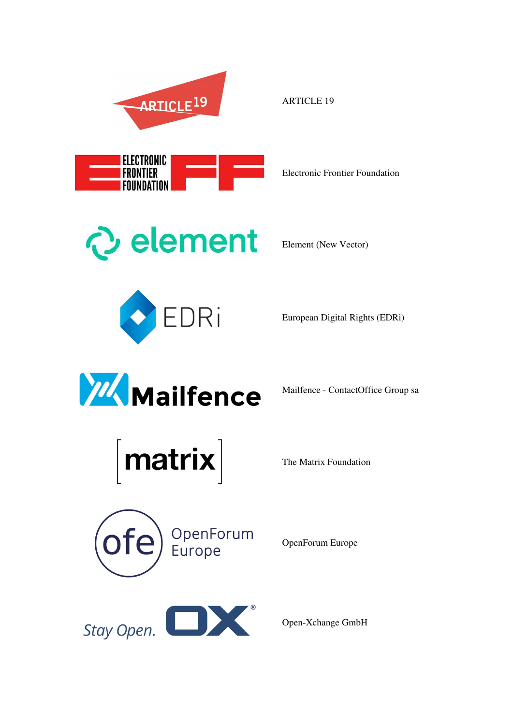

Electronic Frontier Foundation



Element (New Vector)

ARTICLE 19



European Digital Rights (EDRi)



Mailfence - ContactOffice Group sa



The Matrix Foundation



OpenForum Europe



Open-Xchange GmbH